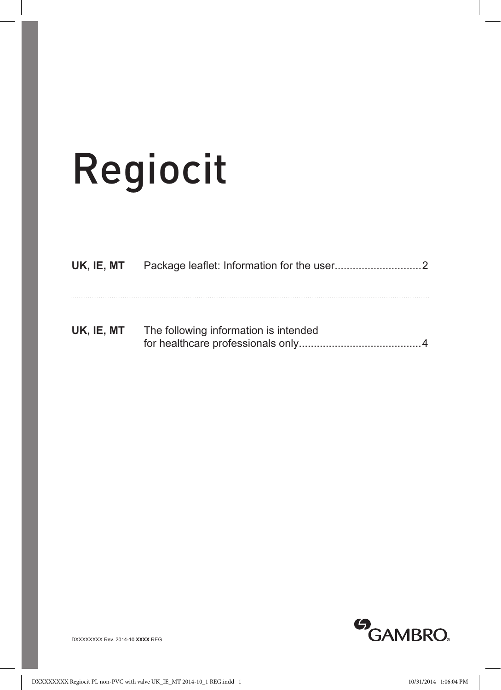# Regiocit

| . |  |
|---|--|

| UK, IE, MT | The following information is intended |
|------------|---------------------------------------|
|            |                                       |



DXXXXXXXX Rev. 2014-10 **XXXX** REG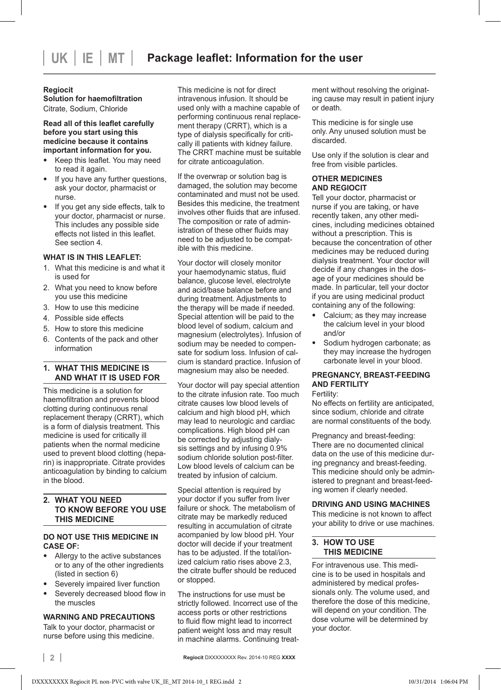#### **Regiocit**

**Solution for haemofiltration** Citrate, Sodium, Chloride

#### **Read all of this leaflet carefully before you start using this medicine because it contains important information for you.**

- Keep this leaflet. You may need to read it again.
- If you have any further questions. ask your doctor, pharmacist or nurse.
- If you get any side effects, talk to your doctor, pharmacist or nurse. This includes any possible side effects not listed in this leaflet. See section 4.

#### **WHAT IS IN THIS LEAFLET:**

- 1. What this medicine is and what it is used for
- 2. What you need to know before you use this medicine
- 3. How to use this medicine
- 4. Possible side effects
- 5. How to store this medicine
- 6. Contents of the pack and other information

#### **1. WHAT THIS MEDICINE IS AND WHAT IT IS USED FOR**

This medicine is a solution for haemofiltration and prevents blood clotting during continuous renal replacement therapy (CRRT), which is a form of dialysis treatment. This medicine is used for critically ill patients when the normal medicine used to prevent blood clotting (heparin) is inappropriate. Citrate provides anticoagulation by binding to calcium in the blood.

#### **2. WHAT YOU NEED TO KNOW BEFORE YOU USE THIS MEDICINE**

#### **DO NOT USE THIS MEDICINE IN CASE OF:**

- Allergy to the active substances or to any of the other ingredients (listed in section 6)
- Severely impaired liver function
- Severely decreased blood flow in the muscles

#### **WARNING AND PRECAUTIONS**

Talk to your doctor, pharmacist or nurse before using this medicine. This medicine is not for direct intravenous infusion. It should be used only with a machine capable of performing continuous renal replacement therapy (CRRT), which is a type of dialysis specifically for critically ill patients with kidney failure. The CRRT machine must be suitable for citrate anticoagulation.

If the overwrap or solution bag is damaged, the solution may become contaminated and must not be used. Besides this medicine, the treatment involves other fluids that are infused. The composition or rate of administration of these other fluids may need to be adjusted to be compatible with this medicine.

Your doctor will closely monitor your haemodynamic status, fluid balance, glucose level, electrolyte and acid/base balance before and during treatment. Adjustments to the therapy will be made if needed. Special attention will be paid to the blood level of sodium, calcium and magnesium (electrolytes). Infusion of sodium may be needed to compensate for sodium loss. Infusion of calcium is standard practice. Infusion of magnesium may also be needed.

Your doctor will pay special attention to the citrate infusion rate. Too much citrate causes low blood levels of calcium and high blood pH, which may lead to neurologic and cardiac complications. High blood pH can be corrected by adjusting dialysis settings and by infusing 0.9% sodium chloride solution post-filter. Low blood levels of calcium can be treated by infusion of calcium.

Special attention is required by your doctor if you suffer from liver failure or shock. The metabolism of citrate may be markedly reduced resulting in accumulation of citrate acompanied by low blood pH. Your doctor will decide if your treatment has to be adjusted. If the total/ionized calcium ratio rises above 2.3, the citrate buffer should be reduced or stopped.

The instructions for use must be strictly followed. Incorrect use of the access ports or other restrictions to fluid flow might lead to incorrect patient weight loss and may result in machine alarms. Continuing treatment without resolving the originating cause may result in patient injury or death.

This medicine is for single use only. Any unused solution must be discarded.

Use only if the solution is clear and free from visible particles.

#### **OTHER MEDICINES AND REGIOCIT**

Tell your doctor, pharmacist or nurse if you are taking, or have recently taken, any other medicines, including medicines obtained without a prescription. This is because the concentration of other medicines may be reduced during dialysis treatment. Your doctor will decide if any changes in the dosage of your medicines should be made. In particular, tell your doctor if you are using medicinal product containing any of the following:

- Calcium; as they may increase the calcium level in your blood and/or
- Sodium hydrogen carbonate; as they may increase the hydrogen carbonate level in your blood.

#### **PREGNANCY, BREAST-FEEDING AND FERTILITY**

#### Fertility:

No effects on fertility are anticipated, since sodium, chloride and citrate are normal constituents of the body.

Pregnancy and breast-feeding: There are no documented clinical data on the use of this medicine during pregnancy and breast-feeding. This medicine should only be administered to pregnant and breast-feeding women if clearly needed.

#### **DRIVING AND USING MACHINES**

This medicine is not known to affect your ability to drive or use machines.

#### **3. HOW TO USE THIS MEDICINE**

For intravenous use. This medicine is to be used in hospitals and administered by medical professionals only. The volume used, and therefore the dose of this medicine, will depend on your condition. The dose volume will be determined by your doctor.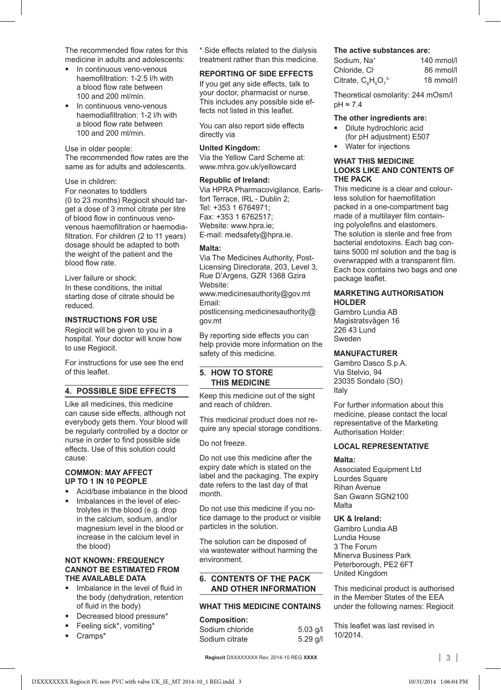The recommended flow rates for this medicine in adults and adolescents:

- In continuous veno-venous haemofiltration: 1-2.5 l/h with a blood flow rate between 100 and 200 ml/min.
- In continuous veno-venous haemodiafiltration: 1-2 l/h with a blood flow rate between 100 and 200 ml/min.

Use in older people:

The recommended flow rates are the same as for adults and adolescents.

#### Use in children:

For neonates to toddlers (0 to 23 months) Regiocit should target a dose of 3 mmol citrate per litre of blood flow in continuous venovenous haemofiltration or haemodiafiltration. For children (2 to 11 years) dosage should be adapted to both the weight of the patient and the blood flow rate.

Liver failure or shock: In these conditions, the initial starting dose of citrate should be reduced.

#### **INSTRUCTIONS FOR USE**

Regiocit will be given to you in a hospital. Your doctor will know how to use Regiocit.

For instructions for use see the end of this leaflet.

#### **4. POSSIBLE SIDE EFFECTS**

Like all medicines, this medicine can cause side effects, although not everybody gets them. Your blood will be regularly controlled by a doctor or nurse in order to find possible side effects. Use of this solution could cause:

#### **COMMON: MAY AFFECT UP TO 1 IN 10 PEOPLE**

- Acid/base imbalance in the blood
- Imbalances in the level of electrolytes in the blood (e.g. drop in the calcium, sodium, and/or magnesium level in the blood or increase in the calcium level in the blood)

#### **NOT KNOWN: FREQUENCY CANNOT BE ESTIMATED FROM THE AVAILABLE DATA**

- Imbalance in the level of fluid in the body (dehydration, retention of fluid in the body)
- Decreased blood pressure\*
- Feeling sick\*, vomiting\*
- Cramps\*

\* Side effects related to the dialysis treatment rather than this medicine.

#### **REPORTING OF SIDE EFFECTS**

If you get any side effects, talk to your doctor, pharmacist or nurse. This includes any possible side effects not listed in this leaflet.

You can also report side effects directly via

#### **United Kingdom:**

Via the Yellow Card Scheme at: www.mhra.gov.uk/yellowcard

#### **Republic of Ireland:**

Via HPRA Pharmacovigilance, Earlsfort Terrace, IRL - Dublin 2; Tel: +353 1 6764971; Fax: +353 1 6762517; Website: www.hpra.ie; E-mail: medsafety@hpra.ie.

#### **Malta:**

Via The Medicines Authority, Post-Licensing Directorate, 203, Level 3, Rue D'Argens, GZR 1368 Gzira Website:

www.medicinesauthority@gov.mt Email:

postlicensing.medicinesauthority@ gov.mt

By reporting side effects you can help provide more information on the safety of this medicine.

#### **5. HOW TO STORE THIS MEDICINE**

Keep this medicine out of the sight and reach of children.

This medicinal product does not require any special storage conditions.

Do not freeze.

Do not use this medicine after the expiry date which is stated on the label and the packaging. The expiry date refers to the last day of that month.

Do not use this medicine if you notice damage to the product or visible particles in the solution.

The solution can be disposed of via wastewater without harming the environment.

#### **6. CONTENTS OF THE PACK AND OTHER INFORMATION**

#### **WHAT THIS MEDICINE CONTAINS**

#### **Composition:** Sodium chloride 5.03 g/l

Sodium citrate 5.29 g/l

#### **The active substances are:**

| Sodium. Na <sup>+</sup>                     | 140 mmol/l |
|---------------------------------------------|------------|
| Chloride, Cl <sup>-</sup>                   | 86 mmol/l  |
| Citrate, $C_{\rm g}H_{\rm g}O_{\rm g}^{3-}$ | 18 mmol/l  |

Theoretical osmolarity: 244 mOsm/l pH ≈ 7.4

#### **The other ingredients are:**

- Dilute hydrochloric acid (for pH adjustment) E507
- Water for injections

#### **WHAT THIS MEDICINE LOOKS LIKE AND CONTENTS OF THE PACK**

This medicine is a clear and colourless solution for haemofiltation packed in a one-compartment bag made of a multilayer film containing polyolefins and elastomers. The solution is sterile and free from bacterial endotoxins. Each bag contains 5000 ml solution and the bag is overwrapped with a transparent film. Each box contains two bags and one package leaflet.

#### **MARKETING AUTHORISATION HOLDER**

Gambro Lundia AB Magistratsvägen 16 226 43 Lund Sweden

#### **MANUFACTURER**

Gambro Dasco S.p.A. Via Stelvio, 94 23035 Sondalo (SO) Italy

For further information about this medicine, please contact the local representative of the Marketing Authorisation Holder:

#### **LOCAL REPRESENTATIVE**

#### **Malta:**

Associated Equipment Ltd Lourdes Square Rihan Avenue San Gwann SGN2100 Malta

#### **UK & Ireland:**

Gambro Lundia AB Lundia House 3 The Forum Minerva Business Park Peterborough, PE2 6FT United Kingdom

This medicinal product is authorised in the Member States of the EEA under the following names: Regiocit

This leaflet was last revised in 10/2014.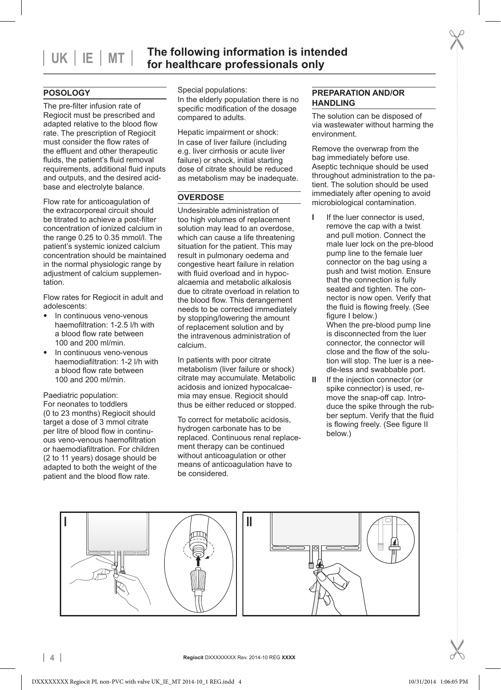## **UK IE MT**

### **The following information is intended for healthcare professionals only**

#### **POSOLOGY**

The pre-filter infusion rate of Regiocit must be prescribed and adapted relative to the blood flow rate. The prescription of Regiocit must consider the flow rates of the effluent and other therapeutic fluids, the patient's fluid removal requirements, additional fluid inputs and outputs, and the desired acidbase and electrolyte balance.

Flow rate for anticoagulation of the extracorporeal circuit should be titrated to achieve a post-filter concentration of ionized calcium in the range 0.25 to 0.35 mmol/l. The patient's systemic ionized calcium concentration should be maintained in the normal physiologic range by adjustment of calcium supplementation.

Flow rates for Regiocit in adult and adolescents:

- In continuous veno-venous haemofiltration: 1-2.5 l/h with a blood flow rate between 100 and 200 ml/min.
- In continuous veno-venous haemodiafiltration: 1-2 l/h with a blood flow rate between 100 and 200 ml/min.

Paediatric population: For neonates to toddlers (0 to 23 months) Regiocit should target a dose of 3 mmol citrate per litre of blood flow in continuous veno-venous haemofiltration or haemodiafiltration. For children (2 to 11 years) dosage should be adapted to both the weight of the patient and the blood flow rate.

Special populations: In the elderly population there is no specific modification of the dosage compared to adults.

Hepatic impairment or shock: In case of liver failure (including e.g. liver cirrhosis or acute liver failure) or shock, initial starting dose of citrate should be reduced as metabolism may be inadequate.

#### **OVERDOSE**

Undesirable administration of too high volumes of replacement solution may lead to an overdose, which can cause a life threatening situation for the patient. This may result in pulmonary oedema and congestive heart failure in relation with fluid overload and in hypocalcaemia and metabolic alkalosis due to citrate overload in relation to the blood flow. This derangement needs to be corrected immediately by stopping/lowering the amount of replacement solution and by the intravenous administration of calcium.

In patients with poor citrate metabolism (liver failure or shock) citrate may accumulate. Metabolic acidosis and ionized hypocalcaemia may ensue. Regiocit should thus be either reduced or stopped.

To correct for metabolic acidosis, hydrogen carbonate has to be replaced. Continuous renal replacement therapy can be continued without anticoagulation or other means of anticoagulation have to be considered.

#### **PREPARATION AND/OR HANDLING**

The solution can be disposed of via wastewater without harming the environment.

 $\chi$ 

Remove the overwrap from the bag immediately before use. Aseptic technique should be used throughout administration to the patient. The solution should be used immediately after opening to avoid microbiological contamination.

**I** If the luer connector is used, remove the cap with a twist and pull motion. Connect the male luer lock on the pre-blood pump line to the female luer connector on the bag using a push and twist motion. Ensure that the connection is fully seated and tighten. The connector is now open. Verify that the fluid is flowing freely. (See figure I below.)

When the pre-blood pump line is disconnected from the luer connector, the connector will close and the flow of the solution will stop. The luer is a needle-less and swabbable port.

If the injection connector (or spike connector) is used, remove the snap-off cap. Introduce the spike through the rubber septum. Verify that the fluid is flowing freely. (See figure II below.)



 $\chi$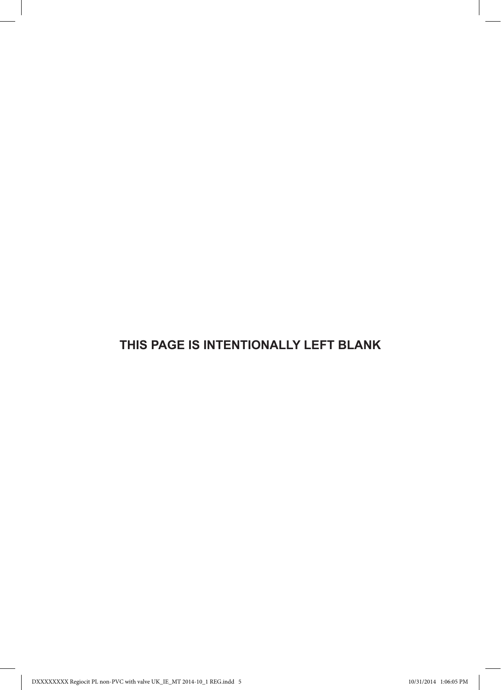**THIS PAGE IS INTENTIONALLY LEFT BLANK**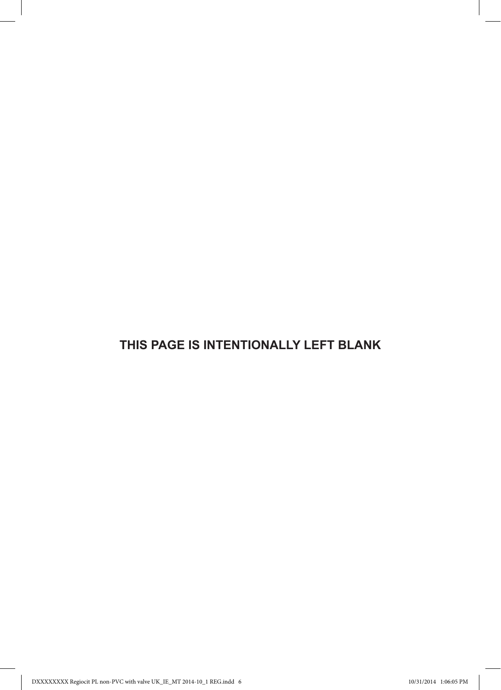**THIS PAGE IS INTENTIONALLY LEFT BLANK**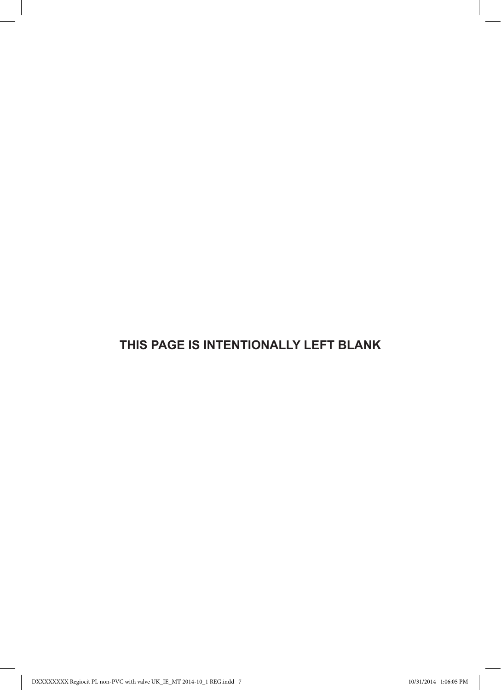**THIS PAGE IS INTENTIONALLY LEFT BLANK**